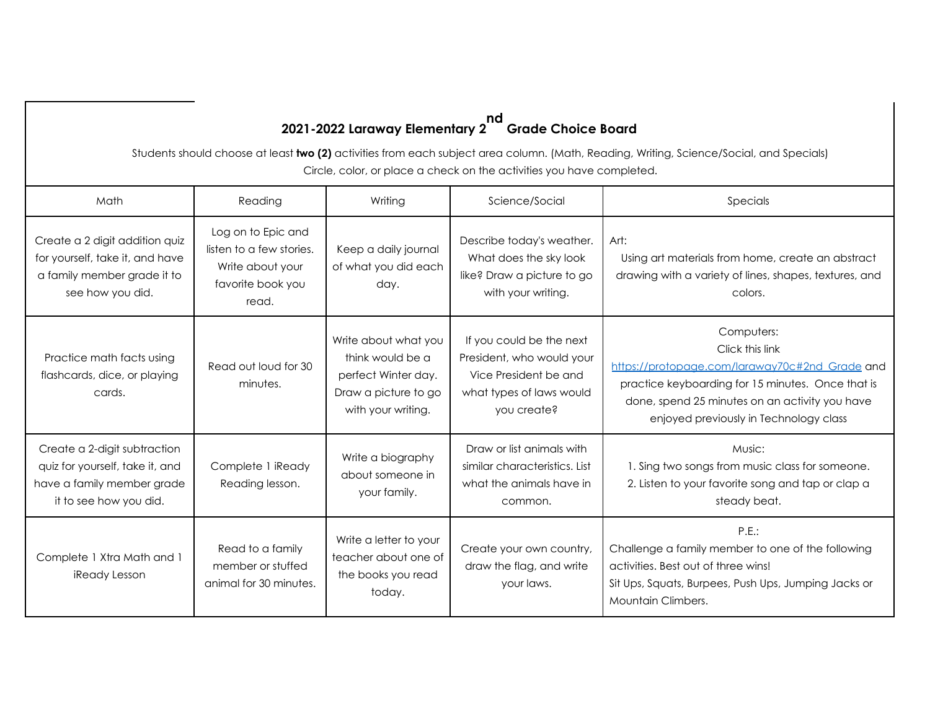| nd<br>2021-2022 Laraway Elementary 2" Grade Choice Board                                                                                                                                                          |                                                                                                  |                                                                                                               |                                                                                                                           |                                                                                                                                                                                                                                  |
|-------------------------------------------------------------------------------------------------------------------------------------------------------------------------------------------------------------------|--------------------------------------------------------------------------------------------------|---------------------------------------------------------------------------------------------------------------|---------------------------------------------------------------------------------------------------------------------------|----------------------------------------------------------------------------------------------------------------------------------------------------------------------------------------------------------------------------------|
| Students should choose at least two (2) activities from each subject area column. (Math, Reading, Writing, Science/Social, and Specials)<br>Circle, color, or place a check on the activities you have completed. |                                                                                                  |                                                                                                               |                                                                                                                           |                                                                                                                                                                                                                                  |
| Math                                                                                                                                                                                                              | Reading                                                                                          | Writing                                                                                                       | Science/Social                                                                                                            | Specials                                                                                                                                                                                                                         |
| Create a 2 digit addition quiz<br>for yourself, take it, and have<br>a family member grade it to<br>see how you did.                                                                                              | Log on to Epic and<br>listen to a few stories.<br>Write about your<br>favorite book you<br>read. | Keep a daily journal<br>of what you did each<br>day.                                                          | Describe today's weather.<br>What does the sky look<br>like? Draw a picture to go<br>with your writing.                   | Art:<br>Using art materials from home, create an abstract<br>drawing with a variety of lines, shapes, textures, and<br>colors.                                                                                                   |
| Practice math facts using<br>flashcards, dice, or playing<br>cards.                                                                                                                                               | Read out loud for 30<br>minutes.                                                                 | Write about what you<br>think would be a<br>perfect Winter day.<br>Draw a picture to go<br>with your writing. | If you could be the next<br>President, who would your<br>Vice President be and<br>what types of laws would<br>you create? | Computers:<br>Click this link<br>https://protopage.com/laraway70c#2nd Grade and<br>practice keyboarding for 15 minutes. Once that is<br>done, spend 25 minutes on an activity you have<br>enjoyed previously in Technology class |
| Create a 2-digit subtraction<br>quiz for yourself, take it, and<br>have a family member grade<br>it to see how you did.                                                                                           | Complete 1 iReady<br>Reading lesson.                                                             | Write a biography<br>about someone in<br>your family.                                                         | Draw or list animals with<br>similar characteristics. List<br>what the animals have in<br>common.                         | Music:<br>1. Sing two songs from music class for someone.<br>2. Listen to your favorite song and tap or clap a<br>steady beat.                                                                                                   |
| Complete 1 Xtra Math and 1<br>iReady Lesson                                                                                                                                                                       | Read to a family<br>member or stuffed<br>animal for 30 minutes.                                  | Write a letter to your<br>teacher about one of<br>the books you read<br>today.                                | Create your own country,<br>draw the flag, and write<br>your laws.                                                        | P.E.<br>Challenge a family member to one of the following<br>activities. Best out of three wins!<br>Sit Ups, Squats, Burpees, Push Ups, Jumping Jacks or<br>Mountain Climbers.                                                   |